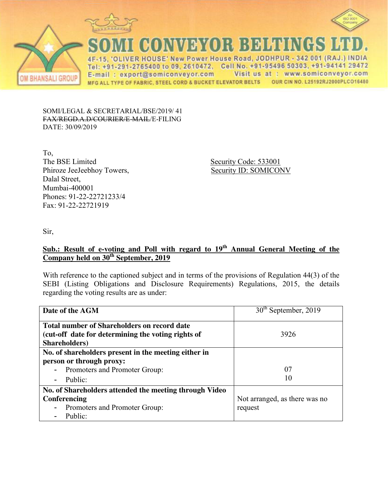



**BHANSALI GROUP** 

CONVEYOR BELTINGS

IVER HOUSE' New Power House Road, JODHPUR - 342 001 (RAJ.) INDIA  $4F$ 15.  $\overline{O}$ Tel: +91-291-2765400 to 09, 2610472, Cell No. +91-95496 50303, +91-94141 29472 E-mail: export@somiconveyor.com Visit us at : www.somiconveyor.com OUR CIN NO. L25192RJ2000PLCO16480 MFG ALL TYPE OF FABRIC, STEEL CORD & BUCKET ELEVATOR BELTS

SOMI/LEGAL & SECRETARIAL/BSE/2019/ 41 FAX/REGD.A.D/COURIER/E-MAIL/E-FILING DATE: 30/09/2019

To, The BSE Limited Security Code: 533001 Phiroze JeeJeebhoy Towers, Security ID: SOMICONV Dalal Street, Mumbai-400001 Phones: 91-22-22721233/4 Fax: 91-22-22721919

Sir,

# **Sub.: Result of e-voting and Poll with regard to 19th Annual General Meeting of the Company held on 30th September, 2019**

With reference to the captioned subject and in terms of the provisions of Regulation 44(3) of the SEBI (Listing Obligations and Disclosure Requirements) Regulations, 2015, the details regarding the voting results are as under:

| Date of the AGM                                           | 30 <sup>th</sup> September, 2019 |
|-----------------------------------------------------------|----------------------------------|
| Total number of Shareholders on record date               |                                  |
| (cut-off date for determining the voting rights of        | 3926                             |
| Shareholders)                                             |                                  |
| No. of shareholders present in the meeting either in      |                                  |
| person or through proxy:                                  |                                  |
| Promoters and Promoter Group:<br>$\sim$                   | 07                               |
| Public:<br>$\overline{\phantom{a}}$                       | 10                               |
| No. of Shareholders attended the meeting through Video    |                                  |
| Conferencing                                              | Not arranged, as there was no    |
| Promoters and Promoter Group:<br>$\overline{\phantom{a}}$ | request                          |
| Public:                                                   |                                  |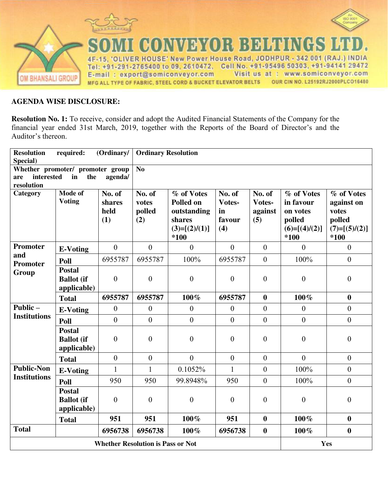

### **AGENDA WISE DISCLOSURE:**

**Resolution No. 1:** To receive, consider and adopt the Audited Financial Statements of the Company for the financial year ended 31st March, 2019, together with the Reports of the Board of Director's and the Auditor's thereon.

| <b>Resolution</b>                            | required:                                         | (Ordinary/                      | <b>Ordinary Resolution</b>       |                                                                                    |                                         |                                    |                                                                          |                                                                        |
|----------------------------------------------|---------------------------------------------------|---------------------------------|----------------------------------|------------------------------------------------------------------------------------|-----------------------------------------|------------------------------------|--------------------------------------------------------------------------|------------------------------------------------------------------------|
| Special)<br>Whether promoter/ promoter group |                                                   |                                 | $\overline{No}$                  |                                                                                    |                                         |                                    |                                                                          |                                                                        |
| interested<br>are                            | in<br>the                                         | agenda/                         |                                  |                                                                                    |                                         |                                    |                                                                          |                                                                        |
| resolution                                   |                                                   |                                 |                                  |                                                                                    |                                         |                                    |                                                                          |                                                                        |
| Category                                     | Mode of<br><b>Voting</b>                          | No. of<br>shares<br>held<br>(1) | No. of<br>votes<br>polled<br>(2) | % of Votes<br><b>Polled on</b><br>outstanding<br>shares<br>$(3)=[(2)/(1)]$<br>*100 | No. of<br>Votes-<br>in<br>favour<br>(4) | No. of<br>Votes-<br>against<br>(5) | % of Votes<br>in favour<br>on votes<br>polled<br>$(6)=[(4)/(2)]$<br>*100 | % of Votes<br>against on<br>votes<br>polled<br>$(7)=[(5)/(2)]$<br>*100 |
| <b>Promoter</b>                              | <b>E-Voting</b>                                   | $\mathbf{0}$                    | $\overline{0}$                   | $\overline{0}$                                                                     | $\mathbf{0}$                            | $\mathbf{0}$                       | $\overline{0}$                                                           | $\overline{0}$                                                         |
| and<br><b>Promoter</b>                       | Poll                                              | 6955787                         | 6955787                          | 100%                                                                               | 6955787                                 | $\boldsymbol{0}$                   | 100%                                                                     | $\mathbf{0}$                                                           |
| Group                                        | <b>Postal</b><br><b>Ballot</b> (if<br>applicable) | $\overline{0}$                  | $\overline{0}$                   | $\boldsymbol{0}$                                                                   | $\overline{0}$                          | $\boldsymbol{0}$                   | $\boldsymbol{0}$                                                         | $\boldsymbol{0}$                                                       |
|                                              | <b>Total</b>                                      | 6955787                         | 6955787                          | 100%                                                                               | 6955787                                 | $\boldsymbol{0}$                   | 100%                                                                     | $\boldsymbol{0}$                                                       |
| Public-                                      | <b>E-Voting</b>                                   | $\boldsymbol{0}$                | $\boldsymbol{0}$                 | $\boldsymbol{0}$                                                                   | $\boldsymbol{0}$                        | $\boldsymbol{0}$                   | $\boldsymbol{0}$                                                         | $\mathbf{0}$                                                           |
| <b>Institutions</b>                          | Poll                                              | $\overline{0}$                  | $\mathbf{0}$                     | $\theta$                                                                           | $\theta$                                | $\overline{0}$                     | $\overline{0}$                                                           | $\overline{0}$                                                         |
|                                              | <b>Postal</b><br><b>Ballot</b> (if<br>applicable) | $\overline{0}$                  | $\boldsymbol{0}$                 | $\boldsymbol{0}$                                                                   | $\boldsymbol{0}$                        | $\boldsymbol{0}$                   | $\boldsymbol{0}$                                                         | $\boldsymbol{0}$                                                       |
|                                              | <b>Total</b>                                      | $\boldsymbol{0}$                | $\boldsymbol{0}$                 | $\overline{0}$                                                                     | $\boldsymbol{0}$                        | $\boldsymbol{0}$                   | $\mathbf{0}$                                                             | $\boldsymbol{0}$                                                       |
| <b>Public-Non</b>                            | <b>E-Voting</b>                                   | $\mathbf{1}$                    | 1                                | 0.1052%                                                                            | $\mathbf{1}$                            | $\boldsymbol{0}$                   | 100%                                                                     | $\boldsymbol{0}$                                                       |
| <b>Institutions</b>                          | Poll                                              | 950                             | 950                              | 99.8948%                                                                           | 950                                     | $\boldsymbol{0}$                   | 100%                                                                     | $\boldsymbol{0}$                                                       |
|                                              | <b>Postal</b><br><b>Ballot</b> (if<br>applicable) | $\overline{0}$                  | $\mathbf{0}$                     | $\boldsymbol{0}$                                                                   | $\mathbf{0}$                            | $\boldsymbol{0}$                   | $\boldsymbol{0}$                                                         | $\boldsymbol{0}$                                                       |
|                                              | <b>Total</b>                                      | 951                             | 951                              | 100%                                                                               | 951                                     | $\boldsymbol{0}$                   | 100%                                                                     | $\boldsymbol{0}$                                                       |
| <b>Total</b>                                 |                                                   | 6956738                         | 6956738                          | 100%                                                                               | 6956738                                 | $\boldsymbol{0}$                   | 100%                                                                     | $\boldsymbol{0}$                                                       |
|                                              | <b>Whether Resolution is Pass or Not</b>          |                                 |                                  |                                                                                    |                                         |                                    |                                                                          | Yes                                                                    |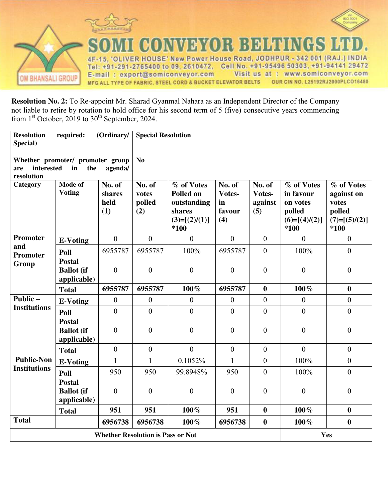



**VEYOR BELTINGS** IVER HOUSE' New Power House Road, JODHPUR - 342 001 (RAJ.) INDIA  $4F$ 15. 'O Tel: +91-291-2765400 to 09, 2610472, Cell No. +91-95496 50303, +91-94141 29472 Visit us at : www.somiconveyor.com E-mail: export@somiconveyor.com OUR CIN NO. L25192RJ2000PLCO16480 MFG ALL TYPE OF FABRIC, STEEL CORD & BUCKET ELEVATOR BELTS

**Resolution No. 2:** To Re-appoint Mr. Sharad Gyanmal Nahara as an Independent Director of the Company not liable to retire by rotation to hold office for his second term of 5 (five) consecutive years commencing from  $1<sup>st</sup>$  October, 2019 to  $30<sup>th</sup>$  September, 2024.

| <b>Resolution</b><br>required:<br>(Ordinary/<br>Special) |                                                   |                                 | <b>Special Resolution</b>        |                                                                             |                                         |                                    |                                                                            |                                                                          |
|----------------------------------------------------------|---------------------------------------------------|---------------------------------|----------------------------------|-----------------------------------------------------------------------------|-----------------------------------------|------------------------------------|----------------------------------------------------------------------------|--------------------------------------------------------------------------|
| interested<br>are<br>resolution                          | Whether promoter/ promoter group<br>in<br>the     | agenda/                         | No                               |                                                                             |                                         |                                    |                                                                            |                                                                          |
| Category                                                 | Mode of<br><b>Voting</b>                          | No. of<br>shares<br>held<br>(1) | No. of<br>votes<br>polled<br>(2) | % of Votes<br>Polled on<br>outstanding<br>shares<br>$(3)=[(2)/(1)]$<br>*100 | No. of<br>Votes-<br>in<br>favour<br>(4) | No. of<br>Votes-<br>against<br>(5) | % of Votes<br>in favour<br>on votes<br>polled<br>$(6)=[(4)/(2)]$<br>$*100$ | % of Votes<br>against on<br>votes<br>polled<br>$(7)=[(5)/(2)]$<br>$*100$ |
| Promoter                                                 | <b>E-Voting</b>                                   | $\mathbf{0}$                    | $\overline{0}$                   | $\mathbf{0}$                                                                | $\mathbf{0}$                            | $\boldsymbol{0}$                   | $\boldsymbol{0}$                                                           | $\overline{0}$                                                           |
| and<br>Promoter                                          | Poll                                              | 6955787                         | 6955787                          | 100%                                                                        | 6955787                                 | $\overline{0}$                     | 100%                                                                       | $\overline{0}$                                                           |
| Group                                                    | <b>Postal</b><br><b>Ballot</b> (if<br>applicable) | $\overline{0}$                  | $\boldsymbol{0}$                 | $\boldsymbol{0}$                                                            | $\boldsymbol{0}$                        | $\boldsymbol{0}$                   | $\boldsymbol{0}$                                                           | $\boldsymbol{0}$                                                         |
|                                                          | <b>Total</b>                                      | 6955787                         | 6955787                          | 100%                                                                        | 6955787                                 | $\boldsymbol{0}$                   | 100%                                                                       | $\boldsymbol{0}$                                                         |
| Public-                                                  | <b>E-Voting</b>                                   | $\boldsymbol{0}$                | $\boldsymbol{0}$                 | $\boldsymbol{0}$                                                            | $\boldsymbol{0}$                        | $\mathbf{0}$                       | $\mathbf{0}$                                                               | $\boldsymbol{0}$                                                         |
| <b>Institutions</b>                                      | Poll                                              | $\overline{0}$                  | $\mathbf{0}$                     | $\overline{0}$                                                              | $\overline{0}$                          | $\boldsymbol{0}$                   | $\boldsymbol{0}$                                                           | $\overline{0}$                                                           |
|                                                          | <b>Postal</b><br><b>Ballot</b> (if<br>applicable) | $\overline{0}$                  | $\overline{0}$                   | $\boldsymbol{0}$                                                            | $\overline{0}$                          | $\boldsymbol{0}$                   | $\boldsymbol{0}$                                                           | $\boldsymbol{0}$                                                         |
|                                                          | <b>Total</b>                                      | $\boldsymbol{0}$                | $\boldsymbol{0}$                 | $\overline{0}$                                                              | $\boldsymbol{0}$                        | $\mathbf{0}$                       | $\mathbf{0}$                                                               | $\boldsymbol{0}$                                                         |
| <b>Public-Non</b>                                        | <b>E-Voting</b>                                   | $\mathbf{1}$                    | $\mathbf{1}$                     | 0.1052%                                                                     | $\mathbf{1}$                            | $\boldsymbol{0}$                   | 100%                                                                       | $\boldsymbol{0}$                                                         |
| <b>Institutions</b>                                      | Poll                                              | 950                             | 950                              | 99.8948%                                                                    | 950                                     | $\theta$                           | 100%                                                                       | $\boldsymbol{0}$                                                         |
|                                                          | <b>Postal</b><br><b>Ballot</b> (if<br>applicable) | $\overline{0}$                  | $\overline{0}$                   | $\boldsymbol{0}$                                                            | $\mathbf{0}$                            | $\boldsymbol{0}$                   | $\boldsymbol{0}$                                                           | $\boldsymbol{0}$                                                         |
|                                                          | <b>Total</b>                                      | 951                             | 951                              | 100%                                                                        | 951                                     | $\boldsymbol{0}$                   | 100%                                                                       | $\boldsymbol{0}$                                                         |
| <b>Total</b>                                             |                                                   | 6956738                         | 6956738                          | 100%                                                                        | 6956738                                 | $\boldsymbol{0}$                   | 100%                                                                       | $\boldsymbol{0}$                                                         |
|                                                          | <b>Whether Resolution is Pass or Not</b>          |                                 |                                  |                                                                             |                                         |                                    |                                                                            | Yes                                                                      |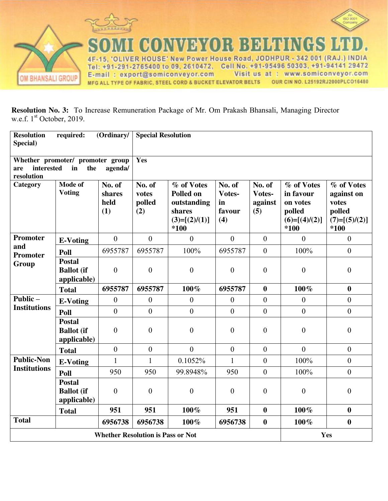



CONVEYOR BELTINGS IVER HOUSE' New Power House Road, JODHPUR - 342 001 (RAJ.) INDIA 4F-15, 'O Tel: +91-291-2765400 to 09, 2610472, Cell No. +91-95496 50303, +91-94141 29472 Visit us at : www.somiconveyor.com E-mail: export@somiconveyor.com MFG ALL TYPE OF FABRIC, STEEL CORD & BUCKET ELEVATOR BELTS OUR CIN NO. L25192RJ2000PLCO16480

L

**Resolution No. 3:** To Increase Remuneration Package of Mr. Om Prakash Bhansali, Managing Director w.e.f. 1<sup>st</sup> October, 2019.

| <b>Resolution</b><br>Special)            | required:                                         | (Ordinary/                      | <b>Special Resolution</b>        |                                                                             |                                         |                                    |                                                                            |                                                                          |
|------------------------------------------|---------------------------------------------------|---------------------------------|----------------------------------|-----------------------------------------------------------------------------|-----------------------------------------|------------------------------------|----------------------------------------------------------------------------|--------------------------------------------------------------------------|
| interested<br>are<br>resolution          | Whether promoter/ promoter group<br>in<br>the     | agenda/                         | Yes                              |                                                                             |                                         |                                    |                                                                            |                                                                          |
| Category                                 | Mode of<br><b>Voting</b>                          | No. of<br>shares<br>held<br>(1) | No. of<br>votes<br>polled<br>(2) | % of Votes<br>Polled on<br>outstanding<br>shares<br>$(3)=[(2)/(1)]$<br>*100 | No. of<br>Votes-<br>in<br>favour<br>(4) | No. of<br>Votes-<br>against<br>(5) | % of Votes<br>in favour<br>on votes<br>polled<br>$(6)=[(4)/(2)]$<br>$*100$ | % of Votes<br>against on<br>votes<br>polled<br>$(7)=[(5)/(2)]$<br>$*100$ |
| Promoter                                 | <b>E-Voting</b>                                   | $\boldsymbol{0}$                | $\overline{0}$                   | $\boldsymbol{0}$                                                            | $\boldsymbol{0}$                        | $\boldsymbol{0}$                   | $\boldsymbol{0}$                                                           | $\boldsymbol{0}$                                                         |
| and<br>Promoter                          | Poll                                              | 6955787                         | 6955787                          | 100%                                                                        | 6955787                                 | $\overline{0}$                     | 100%                                                                       | $\overline{0}$                                                           |
| Group                                    | <b>Postal</b><br><b>Ballot</b> (if<br>applicable) | $\overline{0}$                  | $\boldsymbol{0}$                 | $\boldsymbol{0}$                                                            | $\boldsymbol{0}$                        | $\boldsymbol{0}$                   | $\boldsymbol{0}$                                                           | $\boldsymbol{0}$                                                         |
|                                          | <b>Total</b>                                      | 6955787                         | 6955787                          | 100%                                                                        | 6955787                                 | $\boldsymbol{0}$                   | 100%                                                                       | $\boldsymbol{0}$                                                         |
| Public-                                  | <b>E-Voting</b>                                   | $\boldsymbol{0}$                | $\mathbf{0}$                     | $\boldsymbol{0}$                                                            | $\mathbf{0}$                            | $\overline{0}$                     | $\mathbf{0}$                                                               | $\overline{0}$                                                           |
| <b>Institutions</b>                      | Poll                                              | $\overline{0}$                  | $\overline{0}$                   | $\overline{0}$                                                              | $\overline{0}$                          | $\overline{0}$                     | $\theta$                                                                   | $\overline{0}$                                                           |
|                                          | <b>Postal</b><br><b>Ballot</b> (if<br>applicable) | $\overline{0}$                  | $\overline{0}$                   | $\overline{0}$                                                              | $\overline{0}$                          | $\overline{0}$                     | $\boldsymbol{0}$                                                           | $\overline{0}$                                                           |
|                                          | <b>Total</b>                                      | $\overline{0}$                  | $\overline{0}$                   | $\overline{0}$                                                              | $\overline{0}$                          | $\overline{0}$                     | $\mathbf{0}$                                                               | $\overline{0}$                                                           |
| <b>Public-Non</b><br><b>Institutions</b> | <b>E-Voting</b>                                   | $\mathbf{1}$                    | $\mathbf{1}$                     | 0.1052%                                                                     | $\mathbf{1}$                            | $\boldsymbol{0}$                   | 100%                                                                       | $\boldsymbol{0}$                                                         |
|                                          | Poll                                              | 950                             | 950                              | 99.8948%                                                                    | 950                                     | $\boldsymbol{0}$                   | 100%                                                                       | $\boldsymbol{0}$                                                         |
|                                          | <b>Postal</b><br><b>Ballot</b> (if<br>applicable) | $\mathbf{0}$                    | $\overline{0}$                   | $\boldsymbol{0}$                                                            | $\theta$                                | $\boldsymbol{0}$                   | $\boldsymbol{0}$                                                           | $\boldsymbol{0}$                                                         |
|                                          | <b>Total</b>                                      | 951                             | 951                              | 100%                                                                        | 951                                     | $\boldsymbol{0}$                   | 100%                                                                       | $\boldsymbol{0}$                                                         |
| <b>Total</b>                             |                                                   | 6956738                         | 6956738                          | 100%                                                                        | 6956738                                 | $\boldsymbol{0}$                   | 100%                                                                       | $\boldsymbol{0}$                                                         |
|                                          | <b>Whether Resolution is Pass or Not</b>          |                                 |                                  |                                                                             |                                         |                                    |                                                                            | Yes                                                                      |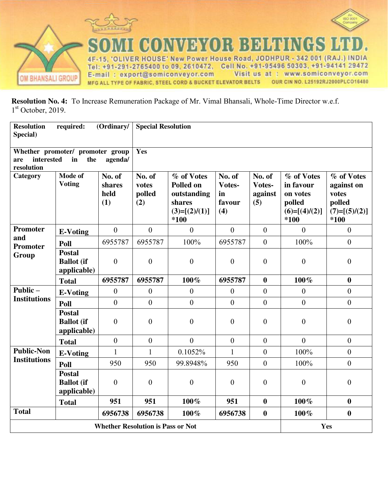



**CONVEYOR BELTINGS** ER HOUSE' New Power House Road, JODHPUR - 342 001 (RAJ.) INDIA 4F 5  $\Omega$ Tel: +91-291-2765400 to 09, 2610472, Cell No. +91-95496 50303, +91-94141 29472 E-mail: export@somiconveyor.com Visit us at : www.somiconveyor.com OUR CIN NO. L25192RJ2000PLCO16480 MFG ALL TYPE OF FABRIC, STEEL CORD & BUCKET ELEVATOR BELTS

L

**Resolution No. 4:** To Increase Remuneration Package of Mr. Vimal Bhansali, Whole-Time Director w.e.f. 1 st October, 2019.

| <b>Resolution</b><br>Special)            | required:                                                              | (Ordinary/                      | <b>Special Resolution</b><br>Yes |                                                                             |                                         |                                    |                                                                            |                                                                        |
|------------------------------------------|------------------------------------------------------------------------|---------------------------------|----------------------------------|-----------------------------------------------------------------------------|-----------------------------------------|------------------------------------|----------------------------------------------------------------------------|------------------------------------------------------------------------|
| are<br>resolution                        | Whether promoter/ promoter group<br>interested<br>the<br>in<br>agenda/ |                                 |                                  |                                                                             |                                         |                                    |                                                                            |                                                                        |
| Category                                 | Mode of<br><b>Voting</b>                                               | No. of<br>shares<br>held<br>(1) | No. of<br>votes<br>polled<br>(2) | % of Votes<br>Polled on<br>outstanding<br>shares<br>$(3)=[(2)/(1)]$<br>*100 | No. of<br>Votes-<br>in<br>favour<br>(4) | No. of<br>Votes-<br>against<br>(5) | % of Votes<br>in favour<br>on votes<br>polled<br>$(6)=[(4)/(2)]$<br>$*100$ | % of Votes<br>against on<br>votes<br>polled<br>$(7)=[(5)/(2)]$<br>*100 |
| Promoter                                 | <b>E-Voting</b>                                                        | $\mathbf{0}$                    | $\overline{0}$                   | $\overline{0}$                                                              | $\overline{0}$                          | $\boldsymbol{0}$                   | $\mathbf{0}$                                                               | $\overline{0}$                                                         |
| and<br>Promoter                          | Poll                                                                   | 6955787                         | 6955787                          | 100%                                                                        | 6955787                                 | $\mathbf{0}$                       | 100%                                                                       | $\overline{0}$                                                         |
| Group                                    | <b>Postal</b><br><b>Ballot</b> (if<br>applicable)                      | $\mathbf{0}$                    | $\mathbf{0}$                     | $\boldsymbol{0}$                                                            | $\mathbf{0}$                            | $\boldsymbol{0}$                   | $\boldsymbol{0}$                                                           | $\boldsymbol{0}$                                                       |
|                                          | <b>Total</b>                                                           | 6955787                         | 6955787                          | 100%                                                                        | 6955787                                 | $\boldsymbol{0}$                   | $100\%$                                                                    | $\boldsymbol{0}$                                                       |
| Public-                                  | <b>E-Voting</b>                                                        | $\boldsymbol{0}$                | $\mathbf{0}$                     | $\boldsymbol{0}$                                                            | $\overline{0}$                          | $\boldsymbol{0}$                   | $\boldsymbol{0}$                                                           | $\boldsymbol{0}$                                                       |
| <b>Institutions</b>                      | Poll                                                                   | $\boldsymbol{0}$                | $\mathbf{0}$                     | $\overline{0}$                                                              | $\overline{0}$                          | $\overline{0}$                     | $\boldsymbol{0}$                                                           | $\boldsymbol{0}$                                                       |
|                                          | <b>Postal</b><br><b>Ballot</b> (if<br>applicable)                      | $\theta$                        | $\boldsymbol{0}$                 | $\boldsymbol{0}$                                                            | $\boldsymbol{0}$                        | $\boldsymbol{0}$                   | $\boldsymbol{0}$                                                           | $\boldsymbol{0}$                                                       |
|                                          | <b>Total</b>                                                           | $\overline{0}$                  | $\overline{0}$                   | $\overline{0}$                                                              | $\overline{0}$                          | $\overline{0}$                     | $\mathbf{0}$                                                               | $\overline{0}$                                                         |
| <b>Public-Non</b>                        | <b>E-Voting</b>                                                        | $\mathbf{1}$                    | $\mathbf{1}$                     | 0.1052%                                                                     | $\mathbf{1}$                            | $\boldsymbol{0}$                   | 100%                                                                       | $\boldsymbol{0}$                                                       |
| <b>Institutions</b>                      | Poll                                                                   | 950                             | 950                              | 99.8948%                                                                    | 950                                     | $\overline{0}$                     | 100%                                                                       | $\overline{0}$                                                         |
|                                          | <b>Postal</b><br><b>Ballot</b> (if<br>applicable)                      | $\overline{0}$                  | $\theta$                         | $\boldsymbol{0}$                                                            | $\theta$                                | $\boldsymbol{0}$                   | $\boldsymbol{0}$                                                           | $\boldsymbol{0}$                                                       |
|                                          | <b>Total</b>                                                           | 951                             | 951                              | $100\%$                                                                     | 951                                     | $\boldsymbol{0}$                   | $100\%$                                                                    | $\boldsymbol{0}$                                                       |
| <b>Total</b>                             |                                                                        | 6956738                         | 6956738                          | 100%                                                                        | 6956738                                 | $\bf{0}$                           | 100%                                                                       | $\boldsymbol{0}$                                                       |
| <b>Whether Resolution is Pass or Not</b> |                                                                        |                                 |                                  |                                                                             |                                         |                                    |                                                                            | Yes                                                                    |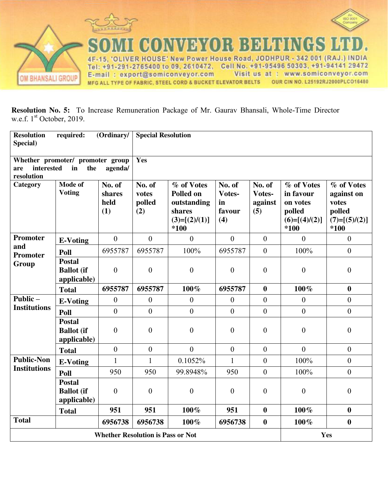



**CONVEYOR BELTINGS** LIVER HOUSE' New Power House Road, JODHPUR - 342 001 (RAJ.) INDIA 4F-15, 'O Tel: +91-291-2765400 to 09, 2610472, Cell No. +91-95496 50303, +91-94141 29472 Visit us at : www.somiconveyor.com E-mail: export@somiconveyor.com OUR CIN NO. L25192RJ2000PLCO16480 MFG ALL TYPE OF FABRIC, STEEL CORD & BUCKET ELEVATOR BELTS

T

**Resolution No. 5:** To Increase Remuneration Package of Mr. Gaurav Bhansali, Whole-Time Director w.e.f. 1<sup>st</sup> October, 2019.

| <b>Resolution</b><br>Special)   | required:                                         | <b>Special Resolution</b><br>(Ordinary/ |                                  |                                                                               |                                         |                                    |                                                                          |                                                                          |
|---------------------------------|---------------------------------------------------|-----------------------------------------|----------------------------------|-------------------------------------------------------------------------------|-----------------------------------------|------------------------------------|--------------------------------------------------------------------------|--------------------------------------------------------------------------|
| interested<br>are<br>resolution | Whether promoter/ promoter group<br>in<br>the     | agenda/                                 | Yes                              |                                                                               |                                         |                                    |                                                                          |                                                                          |
| Category                        | Mode of<br><b>Voting</b>                          | No. of<br>shares<br>held<br>(1)         | No. of<br>votes<br>polled<br>(2) | % of Votes<br>Polled on<br>outstanding<br>shares<br>$(3)=[(2)/(1)]$<br>$*100$ | No. of<br>Votes-<br>in<br>favour<br>(4) | No. of<br>Votes-<br>against<br>(5) | % of Votes<br>in favour<br>on votes<br>polled<br>$(6)=[(4)/(2)]$<br>*100 | % of Votes<br>against on<br>votes<br>polled<br>$(7)=[(5)/(2)]$<br>$*100$ |
| Promoter                        | <b>E-Voting</b>                                   | $\overline{0}$                          | $\overline{0}$                   | $\overline{0}$                                                                | $\overline{0}$                          | $\mathbf{0}$                       | $\overline{0}$                                                           | $\overline{0}$                                                           |
| and<br><b>Promoter</b>          | Poll                                              | 6955787                                 | 6955787                          | 100%                                                                          | 6955787                                 | $\overline{0}$                     | 100%                                                                     | $\overline{0}$                                                           |
| Group                           | <b>Postal</b><br><b>Ballot</b> (if<br>applicable) | $\boldsymbol{0}$                        | $\boldsymbol{0}$                 | $\boldsymbol{0}$                                                              | $\boldsymbol{0}$                        | $\boldsymbol{0}$                   | $\boldsymbol{0}$                                                         | $\boldsymbol{0}$                                                         |
|                                 | <b>Total</b>                                      | 6955787                                 | 6955787                          | 100%                                                                          | 6955787                                 | $\boldsymbol{0}$                   | 100%                                                                     | $\boldsymbol{0}$                                                         |
| Public-                         | <b>E-Voting</b>                                   | $\boldsymbol{0}$                        | $\overline{0}$                   | $\boldsymbol{0}$                                                              | $\theta$                                | $\boldsymbol{0}$                   | $\overline{0}$                                                           | $\overline{0}$                                                           |
| <b>Institutions</b>             | Poll                                              | $\overline{0}$                          | $\boldsymbol{0}$                 | $\boldsymbol{0}$                                                              | $\overline{0}$                          | $\boldsymbol{0}$                   | $\boldsymbol{0}$                                                         | $\overline{0}$                                                           |
|                                 | <b>Postal</b><br><b>Ballot</b> (if<br>applicable) | $\overline{0}$                          | $\theta$                         | $\boldsymbol{0}$                                                              | $\theta$                                | $\boldsymbol{0}$                   | $\boldsymbol{0}$                                                         | $\theta$                                                                 |
|                                 | <b>Total</b>                                      | $\overline{0}$                          | $\boldsymbol{0}$                 | $\overline{0}$                                                                | $\overline{0}$                          | $\overline{0}$                     | $\mathbf{0}$                                                             | $\overline{0}$                                                           |
| <b>Public-Non</b>               | <b>E-Voting</b>                                   | $\mathbf{1}$                            | $\mathbf{1}$                     | 0.1052%                                                                       | $\mathbf{1}$                            | $\overline{0}$                     | 100%                                                                     | $\boldsymbol{0}$                                                         |
| <b>Institutions</b>             | Poll                                              | 950                                     | 950                              | 99.8948%                                                                      | 950                                     | $\boldsymbol{0}$                   | 100%                                                                     | $\boldsymbol{0}$                                                         |
|                                 | <b>Postal</b><br><b>Ballot</b> (if<br>applicable) | $\overline{0}$                          | $\overline{0}$                   | $\boldsymbol{0}$                                                              | $\mathbf{0}$                            | $\boldsymbol{0}$                   | $\boldsymbol{0}$                                                         | $\boldsymbol{0}$                                                         |
|                                 | <b>Total</b>                                      | 951                                     | 951                              | 100%                                                                          | 951                                     | $\boldsymbol{0}$                   | 100%                                                                     | $\boldsymbol{0}$                                                         |
| <b>Total</b>                    |                                                   | 6956738                                 | 6956738                          | 100%                                                                          | 6956738                                 | $\boldsymbol{0}$                   | 100%                                                                     | $\bf{0}$                                                                 |
|                                 | <b>Whether Resolution is Pass or Not</b>          |                                         |                                  |                                                                               |                                         |                                    |                                                                          | Yes                                                                      |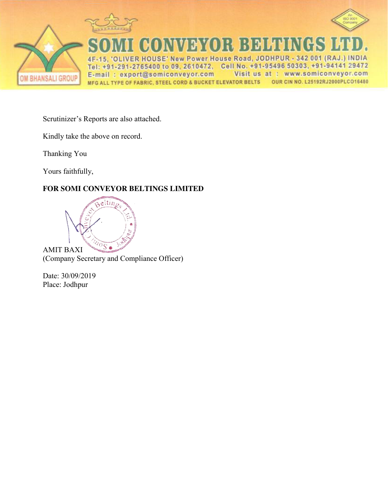





CONVEYOR BELTINGS ER HOUSE' New Power House Road, JODHPUR - 342 001 (RAJ.) INDIA 4F 5 C Tel: +91-291-2765400 to 09, 2610472, Cell No. +91-95496 50303, +91-94141 29472 Visit us at : www.somiconveyor.com E-mail: export@somiconveyor.com OUR CIN NO. L25192RJ2000PLCO16480 MFG ALL TYPE OF FABRIC, STEEL CORD & BUCKET ELEVATOR BELTS

Scrutinizer's Reports are also attached.

Kindly take the above on record.

Thanking You

Yours faithfully,

## **FOR SOMI CONVEYOR BELTINGS LIMITED**



Date: 30/09/2019 Place: Jodhpur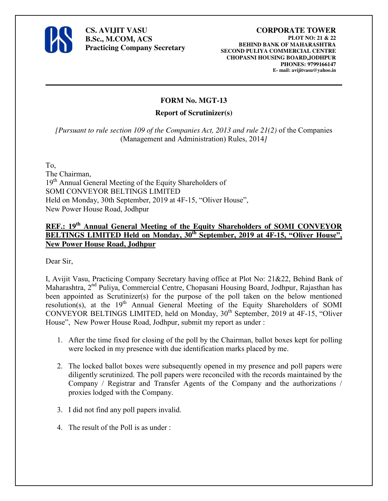

**CS. AVIJIT VASU B.Sc., M.COM, ACS Practicing Company Secretary** 

#### **CORPORATE TOWER PLOT NO: 21 & 22 BEHIND BANK OF MAHARASHTRA SECOND PULIYA COMMERCIAL CENTRE CHOPASNI HOUSING BOARD,JODHPUR PHONES: 9799166147 E- mail: avijitvasu@yahoo.in**

## **FORM No. MGT-13**

#### **Report of Scrutinizer(s)**

*[Pursuant to rule section 109 of the Companies Act, 2013 and rule 21(2)* of the Companies (Management and Administration) Rules, 2014*]*

To,

The Chairman, 19<sup>th</sup> Annual General Meeting of the Equity Shareholders of SOMI CONVEYOR BELTINGS LIMITED Held on Monday, 30th September, 2019 at 4F-15, "Oliver House", New Power House Road, Jodhpur

## **REF.: 19th Annual General Meeting of the Equity Shareholders of SOMI CONVEYOR BELTINGS LIMITED Held on Monday, 30th September, 2019 at 4F-15, "Oliver House", New Power House Road, Jodhpur**

Dear Sir,

I, Avijit Vasu, Practicing Company Secretary having office at Plot No: 21&22, Behind Bank of Maharashtra, 2nd Puliya, Commercial Centre, Chopasani Housing Board, Jodhpur, Rajasthan has been appointed as Scrutinizer(s) for the purpose of the poll taken on the below mentioned resolution(s), at the 19<sup>th</sup> Annual General Meeting of the Equity Shareholders of SOMI CONVEYOR BELTINGS LIMITED, held on Monday,  $30<sup>th</sup>$  September, 2019 at 4F-15, "Oliver House", New Power House Road, Jodhpur, submit my report as under :

- 1. After the time fixed for closing of the poll by the Chairman, ballot boxes kept for polling were locked in my presence with due identification marks placed by me.
- 2. The locked ballot boxes were subsequently opened in my presence and poll papers were diligently scrutinized. The poll papers were reconciled with the records maintained by the Company / Registrar and Transfer Agents of the Company and the authorizations / proxies lodged with the Company.
- 3. I did not find any poll papers invalid.
- 4. The result of the Poll is as under :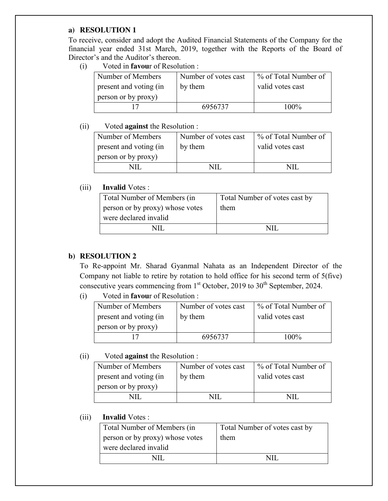#### **a) RESOLUTION 1**

To receive, consider and adopt the Audited Financial Statements of the Company for the financial year ended 31st March, 2019, together with the Reports of the Board of Director's and the Auditor's thereon.

(i) Voted in **favou**r of Resolution :

| Number of Members      | Number of votes cast | ∣ % of Total Number of |
|------------------------|----------------------|------------------------|
| present and voting (in | by them              | valid votes cast       |
| person or by proxy)    |                      |                        |
|                        | 6956737              | $100\%$                |

#### (ii) Voted **against** the Resolution :

| Number of Members      | Number of votes cast | % of Total Number of |
|------------------------|----------------------|----------------------|
| present and voting (in | by them              | valid votes cast     |
| person or by proxy)    |                      |                      |
|                        | NH                   |                      |

#### (iii) **Invalid** Votes :

| Total Number of Members (in     | Total Number of votes cast by |
|---------------------------------|-------------------------------|
| person or by proxy) whose votes | them                          |
| were declared invalid           |                               |
| NП                              | NH                            |

### **b) RESOLUTION 2**

 To Re-appoint Mr. Sharad Gyanmal Nahata as an Independent Director of the Company not liable to retire by rotation to hold office for his second term of 5(five) consecutive years commencing from  $1<sup>st</sup>$  October, 2019 to 30<sup>th</sup> September, 2024.

(i) Voted in **favou**r of Resolution :

| Number of Members      | Number of votes cast | % of Total Number of |
|------------------------|----------------------|----------------------|
| present and voting (in | by them              | valid votes cast     |
| person or by proxy)    |                      |                      |
|                        | 6956737              | 100%                 |

#### (ii) Voted **against** the Resolution :

| Number of Members      | Number of votes cast | % of Total Number of |
|------------------------|----------------------|----------------------|
| present and voting (in | by them              | valid votes cast     |
| person or by proxy)    |                      |                      |
|                        |                      | NH                   |

| Total Number of Members (in     | Total Number of votes cast by |
|---------------------------------|-------------------------------|
| person or by proxy) whose votes | them                          |
| were declared invalid           |                               |
|                                 | NH                            |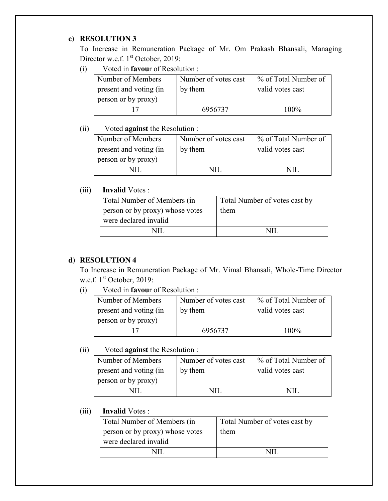## **c) RESOLUTION 3**

 To Increase in Remuneration Package of Mr. Om Prakash Bhansali, Managing Director w.e.f. 1<sup>st</sup> October, 2019:

(i) Voted in **favou**r of Resolution :

| Number of Members      | Number of votes cast | % of Total Number of |
|------------------------|----------------------|----------------------|
| present and voting (in | by them              | valid votes cast     |
| person or by proxy)    |                      |                      |
|                        | 6956737              | 100%                 |

## (ii) Voted **against** the Resolution :

| Number of Members      | Number of votes cast | % of Total Number of |
|------------------------|----------------------|----------------------|
| present and voting (in | by them              | valid votes cast     |
| person or by proxy)    |                      |                      |
|                        |                      |                      |
|                        |                      |                      |

## (iii) **Invalid** Votes :

| Total Number of Members (in     | Total Number of votes cast by |
|---------------------------------|-------------------------------|
| person or by proxy) whose votes | them                          |
| were declared invalid           |                               |
|                                 |                               |

## **d) RESOLUTION 4**

 To Increase in Remuneration Package of Mr. Vimal Bhansali, Whole-Time Director w.e.f. 1<sup>st</sup> October, 2019:

(i) Voted in **favou**r of Resolution :

| Number of Members      | Number of votes cast | % of Total Number of |
|------------------------|----------------------|----------------------|
| present and voting (in | by them              | valid votes cast     |
| person or by proxy)    |                      |                      |
|                        | 6956737              | 100%                 |

(ii) Voted **against** the Resolution :

| Number of Members      | Number of votes cast | % of Total Number of |
|------------------------|----------------------|----------------------|
| present and voting (in | by them              | valid votes cast     |
| person or by proxy)    |                      |                      |
|                        |                      |                      |

| Total Number of Members (in     | Total Number of votes cast by |
|---------------------------------|-------------------------------|
| person or by proxy) whose votes | them                          |
| were declared invalid           |                               |
| NH                              |                               |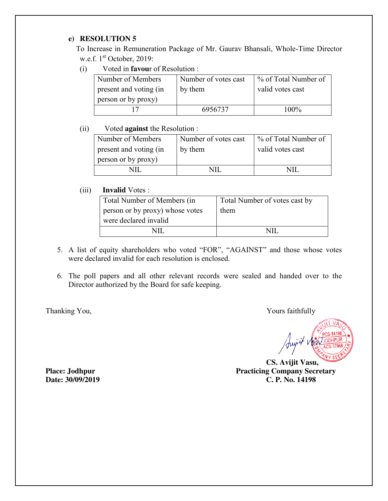### **e) RESOLUTION 5**

 To Increase in Remuneration Package of Mr. Gaurav Bhansali, Whole-Time Director w.e.f. 1<sup>st</sup> October, 2019:

(i) Voted in **favou**r of Resolution :

| Number of Members      | Number of votes cast | % of Total Number of |
|------------------------|----------------------|----------------------|
| present and voting (in | by them              | valid votes cast     |
| person or by proxy)    |                      |                      |
|                        | 6956737              | 100%                 |

#### (ii) Voted **against** the Resolution :

| Number of Members      | Number of votes cast | % of Total Number of |
|------------------------|----------------------|----------------------|
| present and voting (in | by them              | valid votes cast     |
| person or by proxy)    |                      |                      |
|                        | NII                  |                      |
|                        |                      |                      |

#### (iii) **Invalid** Votes :

| Total Number of Members (in     | Total Number of votes cast by |
|---------------------------------|-------------------------------|
| person or by proxy) whose votes | them                          |
| were declared invalid           |                               |
|                                 |                               |

- 5. A list of equity shareholders who voted "FOR", "AGAINST" and those whose votes were declared invalid for each resolution is enclosed.
- 6. The poll papers and all other relevant records were sealed and handed over to the Director authorized by the Board for safe keeping.

Thanking You, Thanking You,

 **CS. Avijit Vasu, Place: Jodhpur Practicing Company Secretary Date: 30/09/2019 C. P. No. 14198**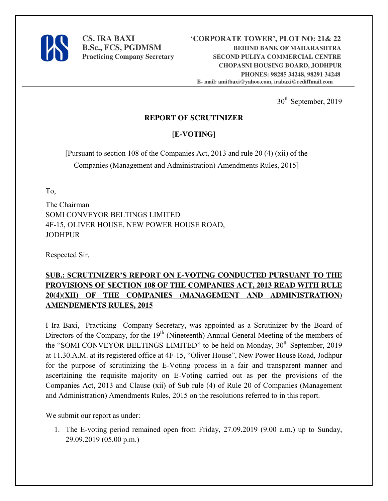

30<sup>th</sup> September, 2019

## **REPORT OF SCRUTINIZER**

## **[E-VOTING]**

[Pursuant to section 108 of the Companies Act, 2013 and rule 20 (4) (xii) of the Companies (Management and Administration) Amendments Rules, 2015]

To,

The Chairman SOMI CONVEYOR BELTINGS LIMITED 4F-15, OLIVER HOUSE, NEW POWER HOUSE ROAD, JODHPUR

Respected Sir,

## **SUB.: SCRUTINIZER'S REPORT ON E-VOTING CONDUCTED PURSUANT TO THE PROVISIONS OF SECTION 108 OF THE COMPANIES ACT, 2013 READ WITH RULE 20(4)(XII) OF THE COMPANIES (MANAGEMENT AND ADMINISTRATION) AMENDEMENTS RULES, 2015**

I Ira Baxi, Practicing Company Secretary, was appointed as a Scrutinizer by the Board of Directors of the Company, for the  $19<sup>th</sup>$  (Nineteenth) Annual General Meeting of the members of the "SOMI CONVEYOR BELTINGS LIMITED" to be held on Monday, 30<sup>th</sup> September, 2019 at 11.30.A.M. at its registered office at 4F-15, "Oliver House", New Power House Road, Jodhpur for the purpose of scrutinizing the E-Voting process in a fair and transparent manner and ascertaining the requisite majority on E-Voting carried out as per the provisions of the Companies Act, 2013 and Clause (xii) of Sub rule (4) of Rule 20 of Companies (Management and Administration) Amendments Rules, 2015 on the resolutions referred to in this report.

We submit our report as under:

1. The E-voting period remained open from Friday, 27.09.2019 (9.00 a.m.) up to Sunday, 29.09.2019 (05.00 p.m.)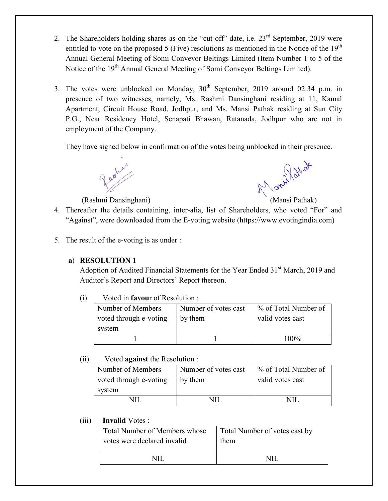- 2. The Shareholders holding shares as on the "cut off" date, i.e.  $23<sup>rd</sup>$  September, 2019 were entitled to vote on the proposed 5 (Five) resolutions as mentioned in the Notice of the  $19<sup>th</sup>$ Annual General Meeting of Somi Conveyor Beltings Limited (Item Number 1 to 5 of the Notice of the 19<sup>th</sup> Annual General Meeting of Somi Conveyor Beltings Limited).
- 3. The votes were unblocked on Monday,  $30<sup>th</sup>$  September, 2019 around 02:34 p.m. in presence of two witnesses, namely, Ms. Rashmi Dansinghani residing at 11, Kamal Apartment, Circuit House Road, Jodhpur, and Ms. Mansi Pathak residing at Sun City P.G., Near Residency Hotel, Senapati Bhawan, Ratanada, Jodhpur who are not in employment of the Company.

They have signed below in confirmation of the votes being unblocked in their presence.

Rashmi Dansinghani) (Mansi Pathak)

- 4. Thereafter the details containing, inter-alia, list of Shareholders, who voted "For" and "Against", were downloaded from the E-voting website (https://www.evotingindia.com)
- 5. The result of the e-voting is as under :

### **a) RESOLUTION 1**

Adoption of Audited Financial Statements for the Year Ended 31<sup>st</sup> March, 2019 and Auditor's Report and Directors' Report thereon.

(i) Voted in **favou**r of Resolution :

| Number of Members<br>voted through e-voting | Number of votes cast<br>by them | % of Total Number of<br>valid votes cast |
|---------------------------------------------|---------------------------------|------------------------------------------|
| system                                      |                                 |                                          |
|                                             |                                 | 100%                                     |

## (ii) Voted **against** the Resolution :

| Number of Members      | Number of votes cast |                  |
|------------------------|----------------------|------------------|
| voted through e-voting | by them              | valid votes cast |
| system                 |                      |                  |
|                        |                      |                  |

| Total Number of Members whose | Total Number of votes cast by |
|-------------------------------|-------------------------------|
| votes were declared invalid   | them                          |
|                               |                               |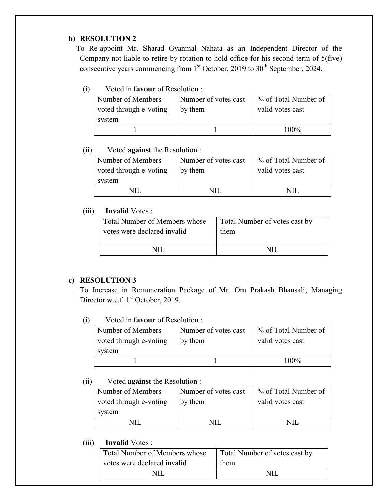#### **b) RESOLUTION 2**

 To Re-appoint Mr. Sharad Gyanmal Nahata as an Independent Director of the Company not liable to retire by rotation to hold office for his second term of 5(five) consecutive years commencing from  $1<sup>st</sup>$  October, 2019 to 30<sup>th</sup> September, 2024.

## (i) Voted in **favour** of Resolution :

| Number of Members      | Number of votes cast | % of Total Number of |
|------------------------|----------------------|----------------------|
| voted through e-voting | by them              | valid votes cast     |
| system                 |                      |                      |
|                        |                      | 100%                 |

### (ii) Voted **against** the Resolution :

| Number of Members<br>voted through e-voting | Number of votes cast<br>by them | % of Total Number of<br>valid votes cast |
|---------------------------------------------|---------------------------------|------------------------------------------|
| system                                      |                                 |                                          |
|                                             |                                 | MН                                       |

### (iii) **Invalid** Votes :

| Total Number of Members whose | Total Number of votes cast by |
|-------------------------------|-------------------------------|
| votes were declared invalid   | them                          |
|                               |                               |

## **c) RESOLUTION 3**

 To Increase in Remuneration Package of Mr. Om Prakash Bhansali, Managing Director w.e.f. 1<sup>st</sup> October, 2019.

### (i) Voted in **favour** of Resolution :

| Number of Members      | Number of votes cast | 1 % of Total Number of |
|------------------------|----------------------|------------------------|
| voted through e-voting | by them              | valid votes cast       |
| system                 |                      |                        |
|                        |                      | 100%                   |

### (ii) Voted **against** the Resolution :

| Number of Members      | Number of votes cast | % of Total Number of |
|------------------------|----------------------|----------------------|
| voted through e-voting | by them              | valid votes cast     |
| system                 |                      |                      |
|                        |                      |                      |

| <b>Total Number of Members whose</b> | Total Number of votes cast by |
|--------------------------------------|-------------------------------|
| votes were declared invalid          | them                          |
| NL.                                  |                               |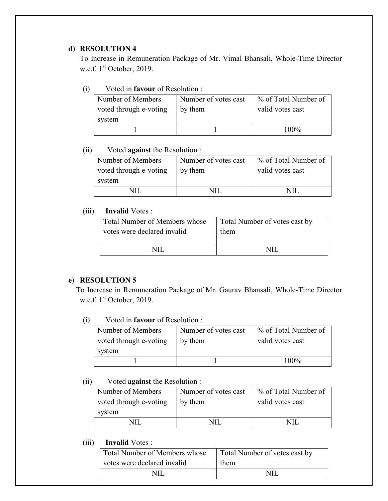#### **d) RESOLUTION 4**

 To Increase in Remuneration Package of Mr. Vimal Bhansali, Whole-Time Director w.e.f. 1<sup>st</sup> October, 2019.

## (i) Voted in **favour** of Resolution :

| Number of Members      | Number of votes cast | % of Total Number of |
|------------------------|----------------------|----------------------|
| voted through e-voting | by them              | valid votes cast     |
| system                 |                      |                      |
|                        |                      | 100%                 |

#### (ii) Voted **against** the Resolution :

| Number of Members<br>voted through e-voting | Number of votes cast<br>by them | % of Total Number of<br>valid votes cast |
|---------------------------------------------|---------------------------------|------------------------------------------|
| system                                      |                                 |                                          |
|                                             |                                 |                                          |

### (iii) **Invalid** Votes :

| Total Number of Members whose | Total Number of votes cast by |
|-------------------------------|-------------------------------|
| votes were declared invalid   | them                          |
|                               |                               |

#### **e) RESOLUTION 5**

 To Increase in Remuneration Package of Mr. Gaurav Bhansali, Whole-Time Director w.e.f. 1<sup>st</sup> October, 2019.

#### (i) Voted in **favour** of Resolution :

| Number of Members                | Number of votes cast | ∣ % of Total Number of |
|----------------------------------|----------------------|------------------------|
| voted through e-voting<br>system | by them              | valid votes cast       |
|                                  |                      | 100%                   |

#### (ii) Voted **against** the Resolution :

| Number of Members      | Number of votes cast | % of Total Number of |
|------------------------|----------------------|----------------------|
| voted through e-voting | by them              | valid votes cast     |
| system                 |                      |                      |
|                        |                      |                      |

| <b>Total Number of Members whose</b> | Total Number of votes cast by |
|--------------------------------------|-------------------------------|
| votes were declared invalid          | them                          |
|                                      | NH                            |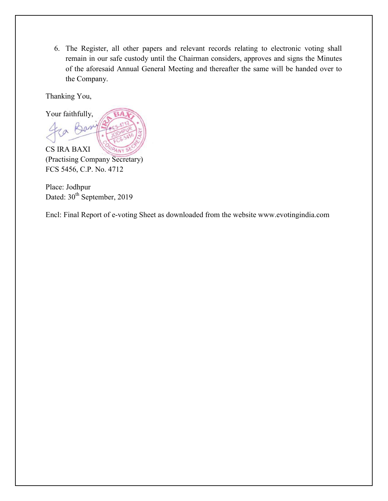6. The Register, all other papers and relevant records relating to electronic voting shall remain in our safe custody until the Chairman considers, approves and signs the Minutes of the aforesaid Annual General Meeting and thereafter the same will be handed over to the Company.

Thanking You,



(Practising Company Secretary) FCS 5456, C.P. No. 4712

Place: Jodhpur Dated: 30<sup>th</sup> September, 2019

Encl: Final Report of e-voting Sheet as downloaded from the website www.evotingindia.com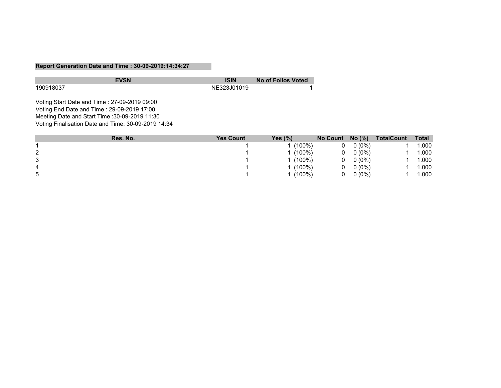#### **Report Generation Date and Time : 30-09-2019:14:34:27**

|           | <b>EVSN</b> | <b>ISIN</b> | No of Folios Voted |
|-----------|-------------|-------------|--------------------|
| 190918037 |             | NE323J01019 |                    |

Voting Start Date and Time : 27-09-2019 09:00 Voting End Date and Time : 29-09-2019 17:00 Meeting Date and Start Time :30-09-2019 11:30 Voting Finalisation Date and Time: 30-09-2019 14:34

|   | Res. No. | <b>Yes Count</b> | Yes $(\%)$ | No Count $No$ (%) |          | <b>TotalCount</b> | <b>Total</b> |
|---|----------|------------------|------------|-------------------|----------|-------------------|--------------|
|   |          |                  | $(100\%)$  | 0                 | $0(0\%)$ |                   | .000         |
|   |          |                  | $(100\%)$  | 0                 | $0(0\%)$ |                   | .000         |
| 3 |          |                  | $(100\%)$  | 0                 | $0(0\%)$ |                   | .000         |
| 4 |          |                  | $(100\%)$  | 0                 | $0(0\%)$ |                   | .000         |
| ა |          |                  | $(100\%)$  | 0                 | $0(0\%)$ |                   | .000         |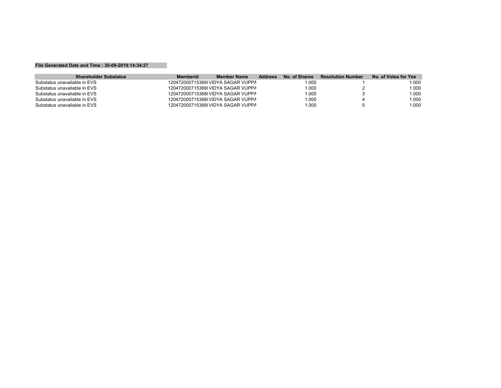#### **File Generated Date and Time : 30-09-2019:14:34:27**

| <b>Shareholder Substatus</b> | <b>Memberid</b> | Member Name                       | <b>Address</b> | No. of Shares | <b>Resolution Number</b> | No. of Votes for Yes |
|------------------------------|-----------------|-----------------------------------|----------------|---------------|--------------------------|----------------------|
| Substatus unavailable in EVS |                 | 120472000715369 VIDYA SAGAR VUPPA |                | .000          |                          | 000.                 |
| Substatus unavailable in EVS |                 | 120472000715369 VIDYA SAGAR VUPPA |                | .000          |                          | .000                 |
| Substatus unavailable in EVS |                 | 120472000715369 VIDYA SAGAR VUPPA |                | 1.000         |                          | 1.000                |
| Substatus unavailable in EVS |                 | 120472000715369 VIDYA SAGAR VUPPA |                | .000          |                          | 1.000                |
| Substatus unavailable in EVS |                 | 120472000715369 VIDYA SAGAR VUPPA |                | 1.000         |                          | 1.000                |